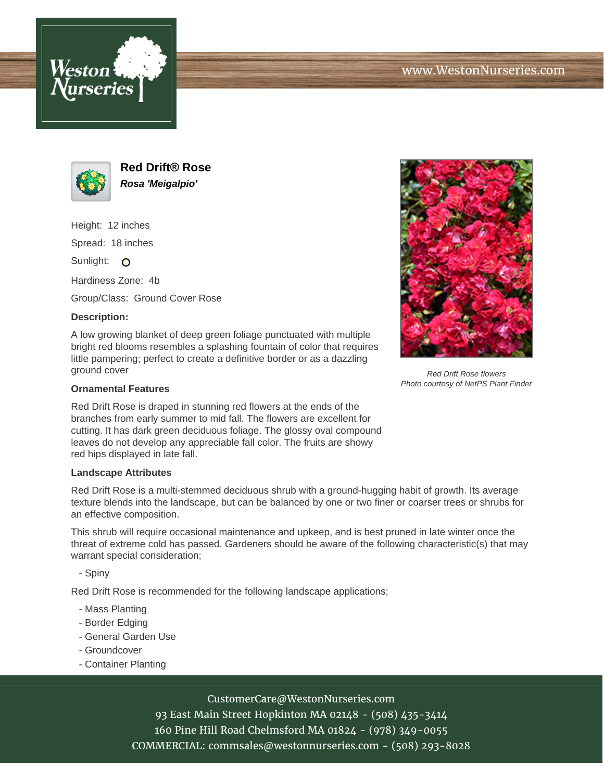



**Red Drift® Rose Rosa 'Meigalpio'**

Height: 12 inches

Spread: 18 inches

Sunlight: O

Hardiness Zone: 4b

Group/Class: Ground Cover Rose

## **Description:**

A low growing blanket of deep green foliage punctuated with multiple bright red blooms resembles a splashing fountain of color that requires little pampering; perfect to create a definitive border or as a dazzling ground cover

#### **Ornamental Features**

Red Drift Rose is draped in stunning red flowers at the ends of the branches from early summer to mid fall. The flowers are excellent for cutting. It has dark green deciduous foliage. The glossy oval compound leaves do not develop any appreciable fall color. The fruits are showy red hips displayed in late fall.

#### **Landscape Attributes**

Red Drift Rose is a multi-stemmed deciduous shrub with a ground-hugging habit of growth. Its average texture blends into the landscape, but can be balanced by one or two finer or coarser trees or shrubs for an effective composition.

This shrub will require occasional maintenance and upkeep, and is best pruned in late winter once the threat of extreme cold has passed. Gardeners should be aware of the following characteristic(s) that may warrant special consideration;

- Spiny

Red Drift Rose is recommended for the following landscape applications;

- Mass Planting
- Border Edging
- General Garden Use
- Groundcover
- Container Planting

# CustomerCare@WestonNurseries.com

93 East Main Street Hopkinton MA 02148 - (508) 435-3414 160 Pine Hill Road Chelmsford MA 01824 - (978) 349-0055 COMMERCIAL: commsales@westonnurseries.com - (508) 293-8028



Red Drift Rose flowers Photo courtesy of NetPS Plant Finder